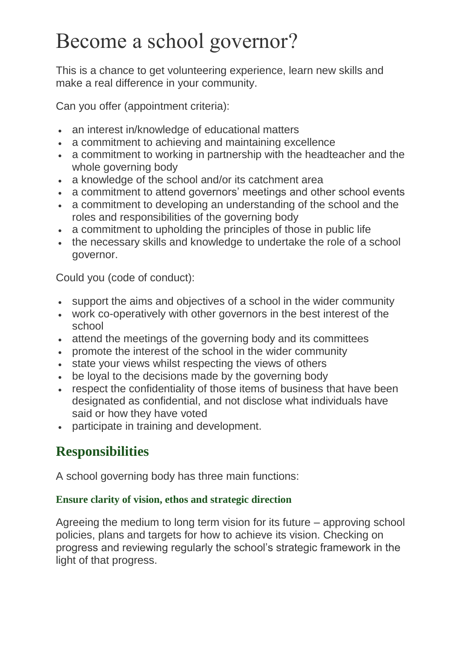# Become a school governor?

This is a chance to get volunteering experience, learn new skills and make a real difference in your community.

Can you offer (appointment criteria):

- an interest in/knowledge of educational matters
- a commitment to achieving and maintaining excellence
- a commitment to working in partnership with the headteacher and the whole governing body
- a knowledge of the school and/or its catchment area
- a commitment to attend governors' meetings and other school events
- a commitment to developing an understanding of the school and the roles and responsibilities of the governing body
- a commitment to upholding the principles of those in public life
- the necessary skills and knowledge to undertake the role of a school governor.

Could you (code of conduct):

- support the aims and objectives of a school in the wider community
- work co-operatively with other governors in the best interest of the school
- attend the meetings of the governing body and its committees
- promote the interest of the school in the wider community
- state your views whilst respecting the views of others
- be loyal to the decisions made by the governing body
- respect the confidentiality of those items of business that have been designated as confidential, and not disclose what individuals have said or how they have voted
- participate in training and development.

## **Responsibilities**

A school governing body has three main functions:

### **Ensure clarity of vision, ethos and strategic direction**

Agreeing the medium to long term vision for its future – approving school policies, plans and targets for how to achieve its vision. Checking on progress and reviewing regularly the school's strategic framework in the light of that progress.